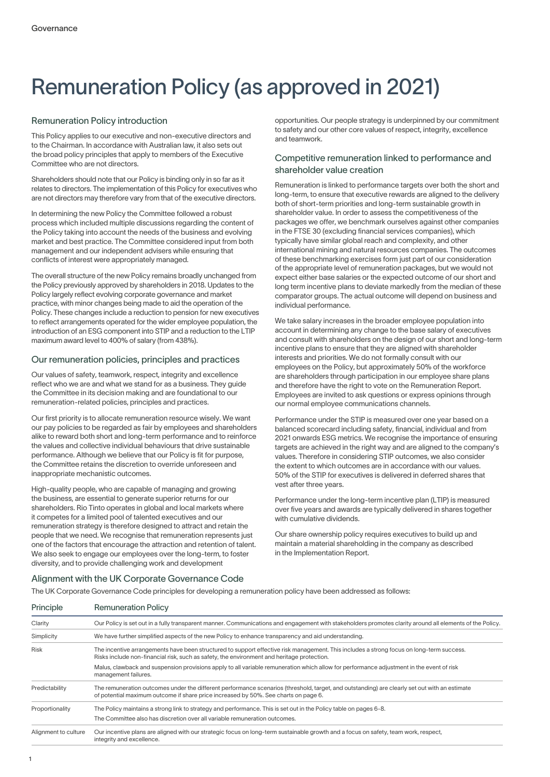# Remuneration Policy (as approved in 2021)

# Remuneration Policy introduction

This Policy applies to our executive and non-executive directors and to the Chairman. In accordance with Australian law, it also sets out the broad policy principles that apply to members of the Executive Committee who are not directors.

Shareholders should note that our Policy is binding only in so far as it relates to directors. The implementation of this Policy for executives who are not directors may therefore vary from that of the executive directors.

In determining the new Policy the Committee followed a robust process which included multiple discussions regarding the content of the Policy taking into account the needs of the business and evolving market and best practice. The Committee considered input from both management and our independent advisers while ensuring that conflicts of interest were appropriately managed.

The overall structure of the new Policy remains broadly unchanged from the Policy previously approved by shareholders in 2018. Updates to the Policy largely reflect evolving corporate governance and market practice, with minor changes being made to aid the operation of the Policy. These changes include a reduction to pension for new executives to reflect arrangements operated for the wider employee population, the introduction of an ESG component into STIP and a reduction to the LTIP maximum award level to 400% of salary (from 438%).

# Our remuneration policies, principles and practices

Our values of safety, teamwork, respect, integrity and excellence reflect who we are and what we stand for as a business. They guide the Committee in its decision making and are foundational to our remuneration-related policies, principles and practices.

Our first priority is to allocate remuneration resource wisely. We want our pay policies to be regarded as fair by employees and shareholders alike to reward both short and long-term performance and to reinforce the values and collective individual behaviours that drive sustainable performance. Although we believe that our Policy is fit for purpose, the Committee retains the discretion to override unforeseen and inappropriate mechanistic outcomes.

High-quality people, who are capable of managing and growing the business, are essential to generate superior returns for our shareholders. Rio Tinto operates in global and local markets where it competes for a limited pool of talented executives and our remuneration strategy is therefore designed to attract and retain the people that we need. We recognise that remuneration represents just one of the factors that encourage the attraction and retention of talent. We also seek to engage our employees over the long-term, to foster diversity, and to provide challenging work and development

opportunities. Our people strategy is underpinned by our commitment to safety and our other core values of respect, integrity, excellence and teamwork.

# Competitive remuneration linked to performance and shareholder value creation

Remuneration is linked to performance targets over both the short and long-term, to ensure that executive rewards are aligned to the delivery both of short-term priorities and long-term sustainable growth in shareholder value. In order to assess the competitiveness of the packages we offer, we benchmark ourselves against other companies in the FTSE 30 (excluding financial services companies), which typically have similar global reach and complexity, and other international mining and natural resources companies. The outcomes of these benchmarking exercises form just part of our consideration of the appropriate level of remuneration packages, but we would not expect either base salaries or the expected outcome of our short and long term incentive plans to deviate markedly from the median of these comparator groups. The actual outcome will depend on business and individual performance.

We take salary increases in the broader employee population into account in determining any change to the base salary of executives and consult with shareholders on the design of our short and long-term incentive plans to ensure that they are aligned with shareholder interests and priorities. We do not formally consult with our employees on the Policy, but approximately 50% of the workforce are shareholders through participation in our employee share plans and therefore have the right to vote on the Remuneration Report. Employees are invited to ask questions or express opinions through our normal employee communications channels.

Performance under the STIP is measured over one year based on a balanced scorecard including safety, financial, individual and from 2021 onwards ESG metrics. We recognise the importance of ensuring targets are achieved in the right way and are aligned to the company's values. Therefore in considering STIP outcomes, we also consider the extent to which outcomes are in accordance with our values. 50% of the STIP for executives is delivered in deferred shares that vest after three years.

Performance under the long-term incentive plan (LTIP) is measured over five years and awards are typically delivered in shares together with cumulative dividends.

Our share ownership policy requires executives to build up and maintain a material shareholding in the company as described in the Implementation Report.

# Alignment with the UK Corporate Governance Code

The UK Corporate Governance Code principles for developing a remuneration policy have been addressed as follows:

| Principle            | <b>Remuneration Policy</b>                                                                                                                                                                                                             |  |  |  |  |
|----------------------|----------------------------------------------------------------------------------------------------------------------------------------------------------------------------------------------------------------------------------------|--|--|--|--|
| Clarity              | Our Policy is set out in a fully transparent manner. Communications and engagement with stakeholders promotes clarity around all elements of the Policy.                                                                               |  |  |  |  |
| Simplicity           | We have further simplified aspects of the new Policy to enhance transparency and aid understanding.                                                                                                                                    |  |  |  |  |
| <b>Risk</b>          | The incentive arrangements have been structured to support effective risk management. This includes a strong focus on long-term success.<br>Risks include non-financial risk, such as safety, the environment and heritage protection. |  |  |  |  |
|                      | Malus, clawback and suspension provisions apply to all variable remuneration which allow for performance adjustment in the event of risk<br>management failures.                                                                       |  |  |  |  |
| Predictability       | The remuneration outcomes under the different performance scenarios (threshold, target, and outstanding) are clearly set out with an estimate<br>of potential maximum outcome if share price increased by 50%. See charts on page 6.   |  |  |  |  |
| Proportionality      | The Policy maintains a strong link to strategy and performance. This is set out in the Policy table on pages 6-8.                                                                                                                      |  |  |  |  |
|                      | The Committee also has discretion over all variable remuneration outcomes.                                                                                                                                                             |  |  |  |  |
| Alignment to culture | Our incentive plans are aligned with our strategic focus on long-term sustainable growth and a focus on safety, team work, respect,<br>integrity and excellence.                                                                       |  |  |  |  |
|                      |                                                                                                                                                                                                                                        |  |  |  |  |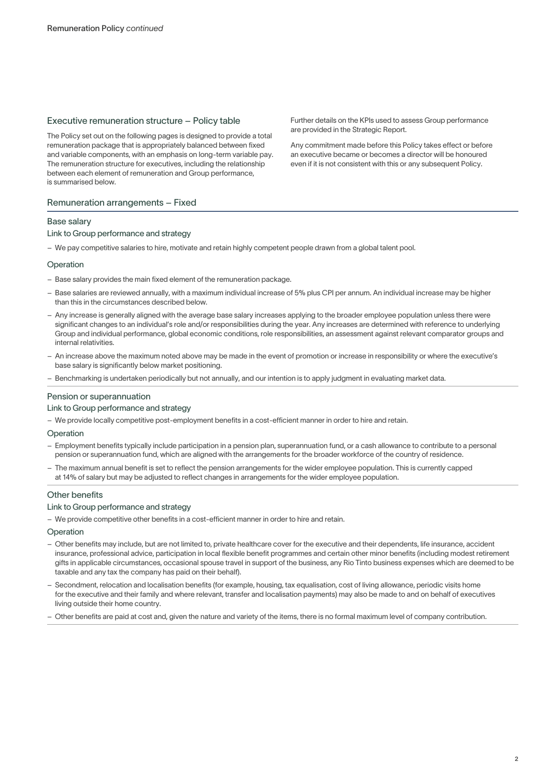# Executive remuneration structure – Policy table

The Policy set out on the following pages is designed to provide a total remuneration package that is appropriately balanced between fixed and variable components, with an emphasis on long-term variable pay. The remuneration structure for executives, including the relationship between each element of remuneration and Group performance, is summarised below.

# Remuneration arrangements – Fixed

## Base salary

## Link to Group performance and strategy

– We pay competitive salaries to hire, motivate and retain highly competent people drawn from a global talent pool.

## **Operation**

- Base salary provides the main fixed element of the remuneration package.
- Base salaries are reviewed annually, with a maximum individual increase of 5% plus CPI per annum. An individual increase may be higher than this in the circumstances described below.
- Any increase is generally aligned with the average base salary increases applying to the broader employee population unless there were significant changes to an individual's role and/or responsibilities during the year. Any increases are determined with reference to underlying Group and individual performance, global economic conditions, role responsibilities, an assessment against relevant comparator groups and internal relativities.
- An increase above the maximum noted above may be made in the event of promotion or increase in responsibility or where the executive's base salary is significantly below market positioning.
- Benchmarking is undertaken periodically but not annually, and our intention is to apply judgment in evaluating market data.

## Pension or superannuation

## Link to Group performance and strategy

– We provide locally competitive post-employment benefits in a cost-efficient manner in order to hire and retain.

## Operation

- Employment benefits typically include participation in a pension plan, superannuation fund, or a cash allowance to contribute to a personal pension or superannuation fund, which are aligned with the arrangements for the broader workforce of the country of residence.
- The maximum annual benefit is set to reflect the pension arrangements for the wider employee population. This is currently capped at 14% of salary but may be adjusted to reflect changes in arrangements for the wider employee population.

# Other benefits

## Link to Group performance and strategy

– We provide competitive other benefits in a cost-efficient manner in order to hire and retain.

## **Operation**

- Other benefits may include, but are not limited to, private healthcare cover for the executive and their dependents, life insurance, accident insurance, professional advice, participation in local flexible benefit programmes and certain other minor benefits (including modest retirement gifts in applicable circumstances, occasional spouse travel in support of the business, any Rio Tinto business expenses which are deemed to be taxable and any tax the company has paid on their behalf).
- Secondment, relocation and localisation benefits (for example, housing, tax equalisation, cost of living allowance, periodic visits home for the executive and their family and where relevant, transfer and localisation payments) may also be made to and on behalf of executives living outside their home country.
- Other benefits are paid at cost and, given the nature and variety of the items, there is no formal maximum level of company contribution.

Further details on the KPIs used to assess Group performance are provided in the Strategic Report.

Any commitment made before this Policy takes effect or before an executive became or becomes a director will be honoured even if it is not consistent with this or any subsequent Policy.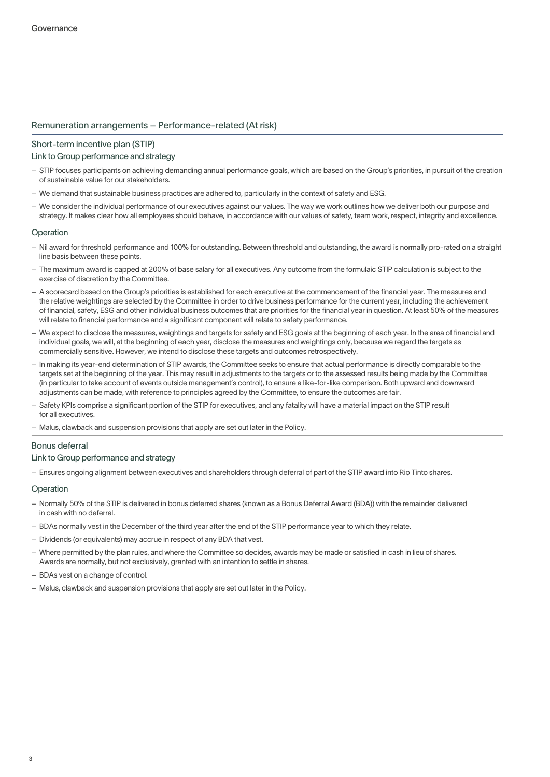# Remuneration arrangements – Performance-related (At risk)

# Short-term incentive plan (STIP)

## Link to Group performance and strategy

- STIP focuses participants on achieving demanding annual performance goals, which are based on the Group's priorities, in pursuit of the creation of sustainable value for our stakeholders.
- We demand that sustainable business practices are adhered to, particularly in the context of safety and ESG.
- We consider the individual performance of our executives against our values. The way we work outlines how we deliver both our purpose and strategy. It makes clear how all employees should behave, in accordance with our values of safety, team work, respect, integrity and excellence.

## Operation

- Nil award for threshold performance and 100% for outstanding. Between threshold and outstanding, the award is normally pro-rated on a straight line basis between these points.
- The maximum award is capped at 200% of base salary for all executives. Any outcome from the formulaic STIP calculation is subject to the exercise of discretion by the Committee.
- A scorecard based on the Group's priorities is established for each executive at the commencement of the financial year. The measures and the relative weightings are selected by the Committee in order to drive business performance for the current year, including the achievement of financial, safety, ESG and other individual business outcomes that are priorities for the financial year in question. At least 50% of the measures will relate to financial performance and a significant component will relate to safety performance.
- We expect to disclose the measures, weightings and targets for safety and ESG goals at the beginning of each year. In the area of financial and individual goals, we will, at the beginning of each year, disclose the measures and weightings only, because we regard the targets as commercially sensitive. However, we intend to disclose these targets and outcomes retrospectively.
- In making its year-end determination of STIP awards, the Committee seeks to ensure that actual performance is directly comparable to the targets set at the beginning of the year. This may result in adjustments to the targets or to the assessed results being made by the Committee (in particular to take account of events outside management's control), to ensure a like-for-like comparison. Both upward and downward adjustments can be made, with reference to principles agreed by the Committee, to ensure the outcomes are fair.
- Safety KPIs comprise a significant portion of the STIP for executives, and any fatality will have a material impact on the STIP result for all executives.
- Malus, clawback and suspension provisions that apply are set out later in the Policy.

# Bonus deferral

## Link to Group performance and strategy

– Ensures ongoing alignment between executives and shareholders through deferral of part of the STIP award into Rio Tinto shares.

#### **Operation**

- Normally 50% of the STIP is delivered in bonus deferred shares (known as a Bonus Deferral Award (BDA)) with the remainder delivered in cash with no deferral.
- BDAs normally vest in the December of the third year after the end of the STIP performance year to which they relate.
- Dividends (or equivalents) may accrue in respect of any BDA that vest.
- Where permitted by the plan rules, and where the Committee so decides, awards may be made or satisfied in cash in lieu of shares. Awards are normally, but not exclusively, granted with an intention to settle in shares.
- BDAs vest on a change of control.
- Malus, clawback and suspension provisions that apply are set out later in the Policy.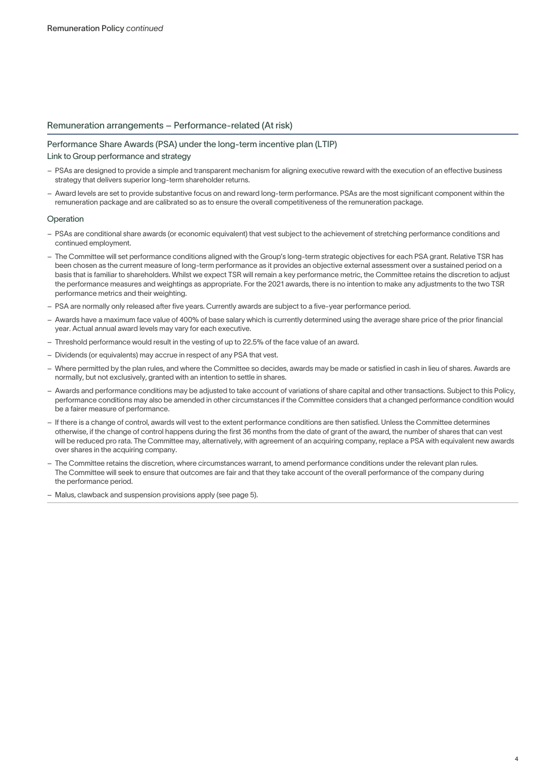# Remuneration arrangements – Performance-related (At risk)

# Performance Share Awards (PSA) under the long-term incentive plan (LTIP) Link to Group performance and strategy

- PSAs are designed to provide a simple and transparent mechanism for aligning executive reward with the execution of an effective business strategy that delivers superior long-term shareholder returns.
- Award levels are set to provide substantive focus on and reward long-term performance. PSAs are the most significant component within the remuneration package and are calibrated so as to ensure the overall competitiveness of the remuneration package.

## Operation

- PSAs are conditional share awards (or economic equivalent) that vest subject to the achievement of stretching performance conditions and continued employment.
- The Committee will set performance conditions aligned with the Group's long-term strategic objectives for each PSA grant. Relative TSR has been chosen as the current measure of long-term performance as it provides an objective external assessment over a sustained period on a basis that is familiar to shareholders. Whilst we expect TSR will remain a key performance metric, the Committee retains the discretion to adjust the performance measures and weightings as appropriate. For the 2021 awards, there is no intention to make any adjustments to the two TSR performance metrics and their weighting.
- PSA are normally only released after five years. Currently awards are subject to a five-year performance period.
- Awards have a maximum face value of 400% of base salary which is currently determined using the average share price of the prior financial year. Actual annual award levels may vary for each executive.
- Threshold performance would result in the vesting of up to 22.5% of the face value of an award.
- Dividends (or equivalents) may accrue in respect of any PSA that vest.
- Where permitted by the plan rules, and where the Committee so decides, awards may be made or satisfied in cash in lieu of shares. Awards are normally, but not exclusively, granted with an intention to settle in shares.
- Awards and performance conditions may be adjusted to take account of variations of share capital and other transactions. Subject to this Policy, performance conditions may also be amended in other circumstances if the Committee considers that a changed performance condition would be a fairer measure of performance.
- If there is a change of control, awards will vest to the extent performance conditions are then satisfied. Unless the Committee determines otherwise, if the change of control happens during the first 36 months from the date of grant of the award, the number of shares that can vest will be reduced pro rata. The Committee may, alternatively, with agreement of an acquiring company, replace a PSA with equivalent new awards over shares in the acquiring company.
- The Committee retains the discretion, where circumstances warrant, to amend performance conditions under the relevant plan rules. The Committee will seek to ensure that outcomes are fair and that they take account of the overall performance of the company during the performance period.
- Malus, clawback and suspension provisions apply (see page 5).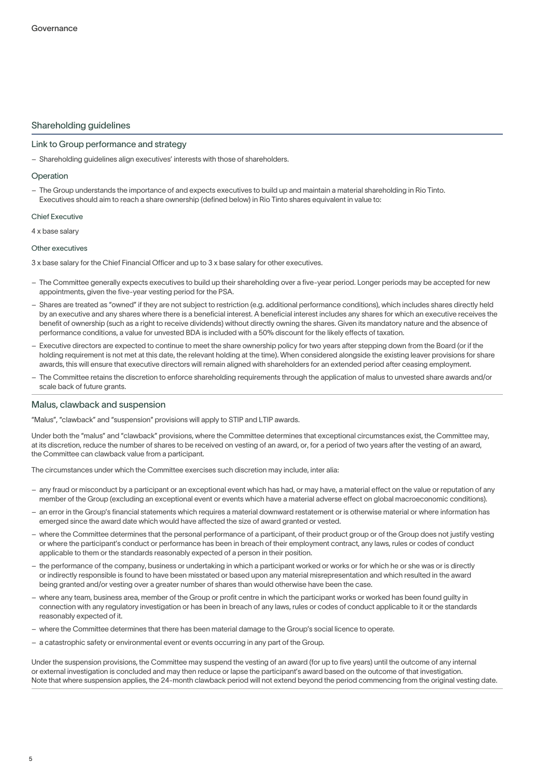# Shareholding guidelines

## Link to Group performance and strategy

– Shareholding guidelines align executives' interests with those of shareholders.

### Operation

– The Group understands the importance of and expects executives to build up and maintain a material shareholding in Rio Tinto. Executives should aim to reach a share ownership (defined below) in Rio Tinto shares equivalent in value to:

#### Chief Executive

4 x base salary

#### Other executives

- 3 x base salary for the Chief Financial Officer and up to 3 x base salary for other executives.
- The Committee generally expects executives to build up their shareholding over a five-year period. Longer periods may be accepted for new appointments, given the five-year vesting period for the PSA.
- Shares are treated as "owned" if they are not subject to restriction (e.g. additional performance conditions), which includes shares directly held by an executive and any shares where there is a beneficial interest. A beneficial interest includes any shares for which an executive receives the benefit of ownership (such as a right to receive dividends) without directly owning the shares. Given its mandatory nature and the absence of performance conditions, a value for unvested BDA is included with a 50% discount for the likely effects of taxation.
- Executive directors are expected to continue to meet the share ownership policy for two years after stepping down from the Board (or if the holding requirement is not met at this date, the relevant holding at the time). When considered alongside the existing leaver provisions for share awards, this will ensure that executive directors will remain aligned with shareholders for an extended period after ceasing employment.
- The Committee retains the discretion to enforce shareholding requirements through the application of malus to unvested share awards and/or scale back of future grants.

## Malus, clawback and suspension

"Malus", "clawback" and "suspension" provisions will apply to STIP and LTIP awards.

Under both the "malus" and "clawback" provisions, where the Committee determines that exceptional circumstances exist, the Committee may, at its discretion, reduce the number of shares to be received on vesting of an award, or, for a period of two years after the vesting of an award, the Committee can clawback value from a participant.

The circumstances under which the Committee exercises such discretion may include, inter alia:

- any fraud or misconduct by a participant or an exceptional event which has had, or may have, a material effect on the value or reputation of any member of the Group (excluding an exceptional event or events which have a material adverse effect on global macroeconomic conditions).
- an error in the Group's financial statements which requires a material downward restatement or is otherwise material or where information has emerged since the award date which would have affected the size of award granted or vested.
- where the Committee determines that the personal performance of a participant, of their product group or of the Group does not justify vesting or where the participant's conduct or performance has been in breach of their employment contract, any laws, rules or codes of conduct applicable to them or the standards reasonably expected of a person in their position.
- the performance of the company, business or undertaking in which a participant worked or works or for which he or she was or is directly or indirectly responsible is found to have been misstated or based upon any material misrepresentation and which resulted in the award being granted and/or vesting over a greater number of shares than would otherwise have been the case.
- where any team, business area, member of the Group or profit centre in which the participant works or worked has been found guilty in connection with any regulatory investigation or has been in breach of any laws, rules or codes of conduct applicable to it or the standards reasonably expected of it.
- where the Committee determines that there has been material damage to the Group's social licence to operate.
- a catastrophic safety or environmental event or events occurring in any part of the Group.

Under the suspension provisions, the Committee may suspend the vesting of an award (for up to five years) until the outcome of any internal or external investigation is concluded and may then reduce or lapse the participant's award based on the outcome of that investigation. Note that where suspension applies, the 24-month clawback period will not extend beyond the period commencing from the original vesting date.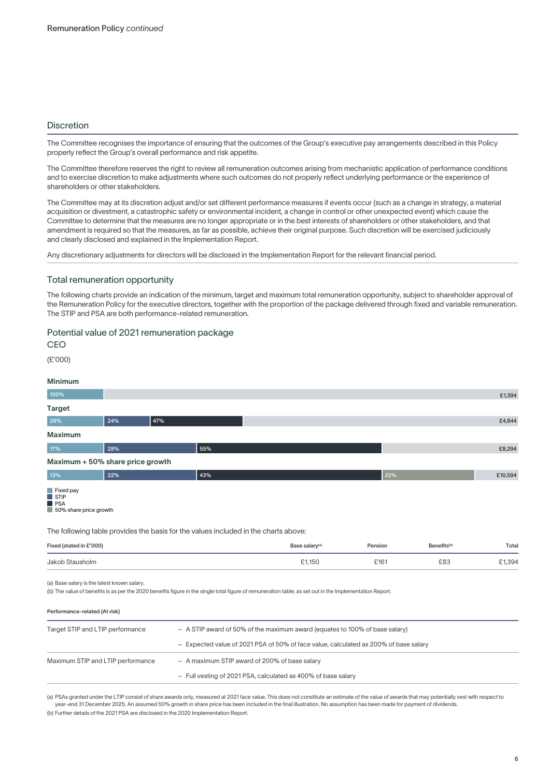# **Discretion**

The Committee recognises the importance of ensuring that the outcomes of the Group's executive pay arrangements described in this Policy properly reflect the Group's overall performance and risk appetite.

The Committee therefore reserves the right to review all remuneration outcomes arising from mechanistic application of performance conditions and to exercise discretion to make adjustments where such outcomes do not properly reflect underlying performance or the experience of shareholders or other stakeholders.

The Committee may at its discretion adjust and/or set different performance measures if events occur (such as a change in strategy, a material acquisition or divestment, a catastrophic safety or environmental incident, a change in control or other unexpected event) which cause the Committee to determine that the measures are no longer appropriate or in the best interests of shareholders or other stakeholders, and that amendment is required so that the measures, as far as possible, achieve their original purpose. Such discretion will be exercised judiciously and clearly disclosed and explained in the Implementation Report.

Any discretionary adjustments for directors will be disclosed in the Implementation Report for the relevant financial period.

# Total remuneration opportunity

The following charts provide an indication of the minimum, target and maximum total remuneration opportunity, subject to shareholder approval of the Remuneration Policy for the executive directors, together with the proportion of the package delivered through fixed and variable remuneration. The STIP and PSA are both performance-related remuneration.

# Potential value of 2021 remuneration package

**CEO** 

(£'000)

### Minimum

| 100%                                                                                            |     |                                               |                                                                                     |                                                                                                                                                         |         |                         | £1,394  |
|-------------------------------------------------------------------------------------------------|-----|-----------------------------------------------|-------------------------------------------------------------------------------------|---------------------------------------------------------------------------------------------------------------------------------------------------------|---------|-------------------------|---------|
| <b>Target</b>                                                                                   |     |                                               |                                                                                     |                                                                                                                                                         |         |                         |         |
| 29%                                                                                             | 24% | 47%                                           |                                                                                     |                                                                                                                                                         |         |                         | £4,844  |
| <b>Maximum</b>                                                                                  |     |                                               |                                                                                     |                                                                                                                                                         |         |                         |         |
| 17%                                                                                             | 28% |                                               | 55%                                                                                 |                                                                                                                                                         |         |                         | £8,294  |
| Maximum + 50% share price growth                                                                |     |                                               |                                                                                     |                                                                                                                                                         |         |                         |         |
| 13%                                                                                             | 22% |                                               | 43%                                                                                 |                                                                                                                                                         | 22%     |                         | £10,594 |
| $\blacksquare$ Fixed pay<br>$\blacksquare$ STIP<br>$\blacksquare$ PSA<br>50% share price growth |     |                                               | The following table provides the basis for the values included in the charts above: |                                                                                                                                                         |         |                         |         |
| Fixed (stated in £'000)                                                                         |     |                                               |                                                                                     | Base salary <sup>(a)</sup>                                                                                                                              | Pension | Benefits <sup>(b)</sup> | Total   |
| Jakob Stausholm                                                                                 |     |                                               |                                                                                     | £1,150                                                                                                                                                  | £161    | £83                     | £1,394  |
| (a) Base salary is the latest known salary.                                                     |     |                                               |                                                                                     | (b) The value of benefits is as per the 2020 benefits figure in the single total figure of remuneration table, as set out in the Implementation Report. |         |                         |         |
| Performance-related (At risk)                                                                   |     |                                               |                                                                                     |                                                                                                                                                         |         |                         |         |
| Target STIP and LTIP performance                                                                |     |                                               | - A STIP award of 50% of the maximum award (equates to 100% of base salary)         |                                                                                                                                                         |         |                         |         |
|                                                                                                 |     |                                               |                                                                                     | - Expected value of 2021 PSA of 50% of face value, calculated as 200% of base salary                                                                    |         |                         |         |
| Maximum STIP and LTIP performance                                                               |     | - A maximum STIP award of 200% of base salary |                                                                                     |                                                                                                                                                         |         |                         |         |
|                                                                                                 |     |                                               |                                                                                     | - Full vesting of 2021 PSA, calculated as 400% of base salary                                                                                           |         |                         |         |
|                                                                                                 |     |                                               |                                                                                     |                                                                                                                                                         |         |                         |         |

(a) PSAs granted under the LTIP consist of share awards only, measured at 2021 face value. This does not constitute an estimate of the value of awards that may potentially vest with respect to year-end 31 December 2025. An assumed 50% growth in share price has been included in the final illustration. No assumption has been made for payment of dividends.

(b) Further details of the 2021 PSA are disclosed in the 2020 Implementation Report.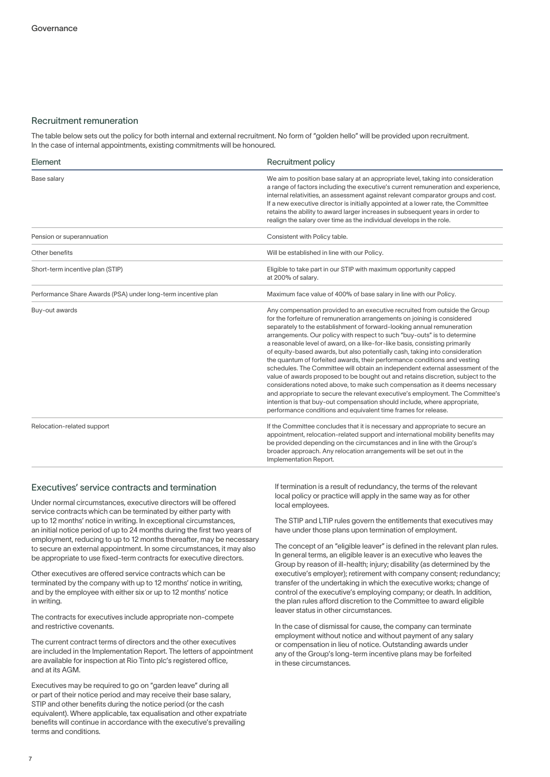## Recruitment remuneration

The table below sets out the policy for both internal and external recruitment. No form of "golden hello" will be provided upon recruitment. In the case of internal appointments, existing commitments will be honoured.

| Element                                                       | Recruitment policy                                                                                                                                                                                                                                                                                                                                                                                                                                                                                                                                                                                                                                                                                                                                                                                                                                                                                                                                                                                                                             |
|---------------------------------------------------------------|------------------------------------------------------------------------------------------------------------------------------------------------------------------------------------------------------------------------------------------------------------------------------------------------------------------------------------------------------------------------------------------------------------------------------------------------------------------------------------------------------------------------------------------------------------------------------------------------------------------------------------------------------------------------------------------------------------------------------------------------------------------------------------------------------------------------------------------------------------------------------------------------------------------------------------------------------------------------------------------------------------------------------------------------|
| Base salary                                                   | We aim to position base salary at an appropriate level, taking into consideration<br>a range of factors including the executive's current remuneration and experience,<br>internal relativities, an assessment against relevant comparator groups and cost.<br>If a new executive director is initially appointed at a lower rate, the Committee<br>retains the ability to award larger increases in subsequent years in order to<br>realign the salary over time as the individual develops in the role.                                                                                                                                                                                                                                                                                                                                                                                                                                                                                                                                      |
| Pension or superannuation                                     | Consistent with Policy table.                                                                                                                                                                                                                                                                                                                                                                                                                                                                                                                                                                                                                                                                                                                                                                                                                                                                                                                                                                                                                  |
| Other benefits                                                | Will be established in line with our Policy.                                                                                                                                                                                                                                                                                                                                                                                                                                                                                                                                                                                                                                                                                                                                                                                                                                                                                                                                                                                                   |
| Short-term incentive plan (STIP)                              | Eligible to take part in our STIP with maximum opportunity capped<br>at 200% of salary.                                                                                                                                                                                                                                                                                                                                                                                                                                                                                                                                                                                                                                                                                                                                                                                                                                                                                                                                                        |
| Performance Share Awards (PSA) under long-term incentive plan | Maximum face value of 400% of base salary in line with our Policy.                                                                                                                                                                                                                                                                                                                                                                                                                                                                                                                                                                                                                                                                                                                                                                                                                                                                                                                                                                             |
| Buy-out awards                                                | Any compensation provided to an executive recruited from outside the Group<br>for the forfeiture of remuneration arrangements on joining is considered<br>separately to the establishment of forward-looking annual remuneration<br>arrangements. Our policy with respect to such "buy-outs" is to determine<br>a reasonable level of award, on a like-for-like basis, consisting primarily<br>of equity-based awards, but also potentially cash, taking into consideration<br>the quantum of forfeited awards, their performance conditions and vesting<br>schedules. The Committee will obtain an independent external assessment of the<br>value of awards proposed to be bought out and retains discretion, subject to the<br>considerations noted above, to make such compensation as it deems necessary<br>and appropriate to secure the relevant executive's employment. The Committee's<br>intention is that buy-out compensation should include, where appropriate,<br>performance conditions and equivalent time frames for release. |
| Relocation-related support                                    | If the Committee concludes that it is necessary and appropriate to secure an<br>appointment, relocation-related support and international mobility benefits may<br>be provided depending on the circumstances and in line with the Group's<br>broader approach. Any relocation arrangements will be set out in the<br>Implementation Report.                                                                                                                                                                                                                                                                                                                                                                                                                                                                                                                                                                                                                                                                                                   |

# Executives' service contracts and termination

Under normal circumstances, executive directors will be offered service contracts which can be terminated by either party with up to 12 months' notice in writing. In exceptional circumstances, an initial notice period of up to 24 months during the first two years of employment, reducing to up to 12 months thereafter, may be necessary to secure an external appointment. In some circumstances, it may also be appropriate to use fixed-term contracts for executive directors.

Other executives are offered service contracts which can be terminated by the company with up to 12 months' notice in writing, and by the employee with either six or up to 12 months' notice in writing.

The contracts for executives include appropriate non-compete and restrictive covenants.

The current contract terms of directors and the other executives are included in the Implementation Report. The letters of appointment are available for inspection at Rio Tinto plc's registered office, and at its AGM.

Executives may be required to go on "garden leave" during all or part of their notice period and may receive their base salary, STIP and other benefits during the notice period (or the cash equivalent). Where applicable, tax equalisation and other expatriate benefits will continue in accordance with the executive's prevailing terms and conditions.

If termination is a result of redundancy, the terms of the relevant local policy or practice will apply in the same way as for other local employees.

The STIP and LTIP rules govern the entitlements that executives may have under those plans upon termination of employment.

The concept of an "eligible leaver" is defined in the relevant plan rules. In general terms, an eligible leaver is an executive who leaves the Group by reason of ill-health; injury; disability (as determined by the executive's employer); retirement with company consent; redundancy; transfer of the undertaking in which the executive works; change of control of the executive's employing company; or death. In addition, the plan rules afford discretion to the Committee to award eligible leaver status in other circumstances.

In the case of dismissal for cause, the company can terminate employment without notice and without payment of any salary or compensation in lieu of notice. Outstanding awards under any of the Group's long-term incentive plans may be forfeited in these circumstances.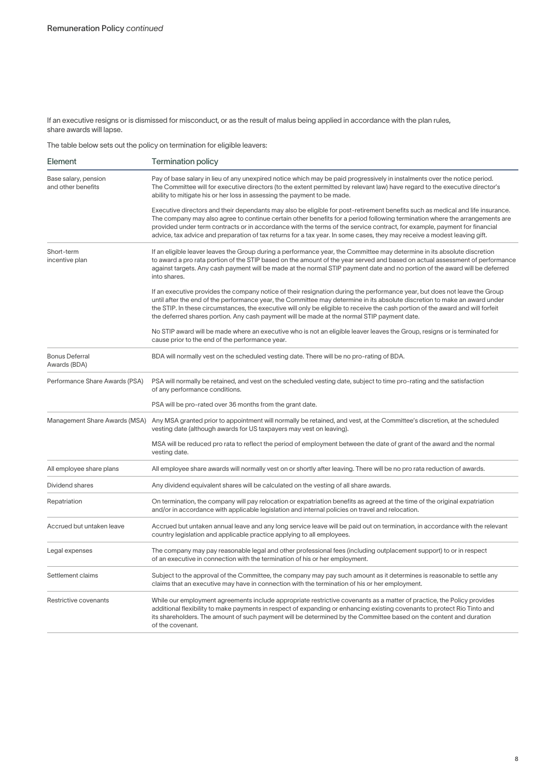If an executive resigns or is dismissed for misconduct, or as the result of malus being applied in accordance with the plan rules, share awards will lapse.

The table below sets out the policy on termination for eligible leavers:

| Element                                    | <b>Termination policy</b>                                                                                                                                                                                                                                                                                                                                                                                                                                                                                              |  |  |  |
|--------------------------------------------|------------------------------------------------------------------------------------------------------------------------------------------------------------------------------------------------------------------------------------------------------------------------------------------------------------------------------------------------------------------------------------------------------------------------------------------------------------------------------------------------------------------------|--|--|--|
| Base salary, pension<br>and other benefits | Pay of base salary in lieu of any unexpired notice which may be paid progressively in instalments over the notice period.<br>The Committee will for executive directors (to the extent permitted by relevant law) have regard to the executive director's<br>ability to mitigate his or her loss in assessing the payment to be made.                                                                                                                                                                                  |  |  |  |
|                                            | Executive directors and their dependants may also be eligible for post-retirement benefits such as medical and life insurance.<br>The company may also agree to continue certain other benefits for a period following termination where the arrangements are<br>provided under term contracts or in accordance with the terms of the service contract, for example, payment for financial<br>advice, tax advice and preparation of tax returns for a tax year. In some cases, they may receive a modest leaving gift. |  |  |  |
| Short-term<br>incentive plan               | If an eligible leaver leaves the Group during a performance year, the Committee may determine in its absolute discretion<br>to award a pro rata portion of the STIP based on the amount of the year served and based on actual assessment of performance<br>against targets. Any cash payment will be made at the normal STIP payment date and no portion of the award will be deferred<br>into shares.                                                                                                                |  |  |  |
|                                            | If an executive provides the company notice of their resignation during the performance year, but does not leave the Group<br>until after the end of the performance year, the Committee may determine in its absolute discretion to make an award under<br>the STIP. In these circumstances, the executive will only be eligible to receive the cash portion of the award and will forfeit<br>the deferred shares portion. Any cash payment will be made at the normal STIP payment date.                             |  |  |  |
|                                            | No STIP award will be made where an executive who is not an eligible leaver leaves the Group, resigns or is terminated for<br>cause prior to the end of the performance year.                                                                                                                                                                                                                                                                                                                                          |  |  |  |
| <b>Bonus Deferral</b><br>Awards (BDA)      | BDA will normally vest on the scheduled vesting date. There will be no pro-rating of BDA.                                                                                                                                                                                                                                                                                                                                                                                                                              |  |  |  |
| Performance Share Awards (PSA)             | PSA will normally be retained, and vest on the scheduled vesting date, subject to time pro-rating and the satisfaction<br>of any performance conditions.                                                                                                                                                                                                                                                                                                                                                               |  |  |  |
|                                            | PSA will be pro-rated over 36 months from the grant date.                                                                                                                                                                                                                                                                                                                                                                                                                                                              |  |  |  |
| Management Share Awards (MSA)              | Any MSA granted prior to appointment will normally be retained, and vest, at the Committee's discretion, at the scheduled<br>vesting date (although awards for US taxpayers may vest on leaving).                                                                                                                                                                                                                                                                                                                      |  |  |  |
|                                            | MSA will be reduced pro rata to reflect the period of employment between the date of grant of the award and the normal<br>vesting date.                                                                                                                                                                                                                                                                                                                                                                                |  |  |  |
| All employee share plans                   | All employee share awards will normally vest on or shortly after leaving. There will be no pro rata reduction of awards.                                                                                                                                                                                                                                                                                                                                                                                               |  |  |  |
| Dividend shares                            | Any dividend equivalent shares will be calculated on the vesting of all share awards.                                                                                                                                                                                                                                                                                                                                                                                                                                  |  |  |  |
| Repatriation                               | On termination, the company will pay relocation or expatriation benefits as agreed at the time of the original expatriation<br>and/or in accordance with applicable legislation and internal policies on travel and relocation.                                                                                                                                                                                                                                                                                        |  |  |  |
| Accrued but untaken leave                  | Accrued but untaken annual leave and any long service leave will be paid out on termination, in accordance with the relevant<br>country legislation and applicable practice applying to all employees.                                                                                                                                                                                                                                                                                                                 |  |  |  |
| Legal expenses                             | The company may pay reasonable legal and other professional fees (including outplacement support) to or in respect<br>of an executive in connection with the termination of his or her employment.                                                                                                                                                                                                                                                                                                                     |  |  |  |
| Settlement claims                          | Subject to the approval of the Committee, the company may pay such amount as it determines is reasonable to settle any<br>claims that an executive may have in connection with the termination of his or her employment.                                                                                                                                                                                                                                                                                               |  |  |  |
| Restrictive covenants                      | While our employment agreements include appropriate restrictive covenants as a matter of practice, the Policy provides<br>additional flexibility to make payments in respect of expanding or enhancing existing covenants to protect Rio Tinto and<br>its shareholders. The amount of such payment will be determined by the Committee based on the content and duration<br>of the covenant.                                                                                                                           |  |  |  |